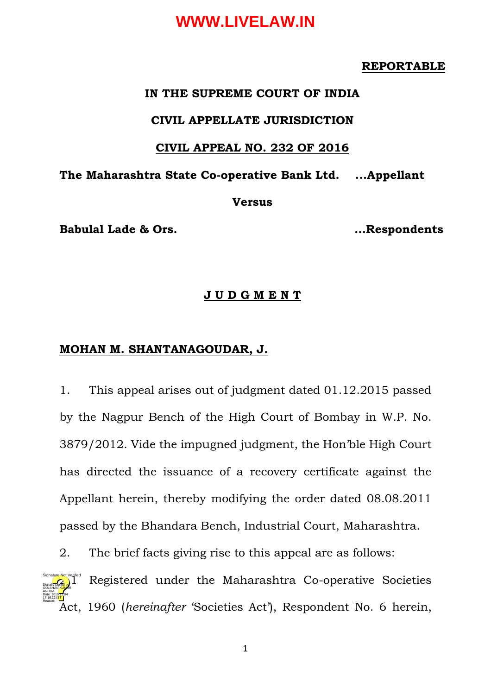#### **REPORTABLE**

#### **IN THE SUPREME COURT OF INDIA**

#### **CIVIL APPELLATE JURISDICTION**

#### **CIVIL APPEAL NO. 232 OF 2016**

**The Maharashtra State Co-operative Bank Ltd. ...Appellant**

#### **Versus**

**Babulal Lade & Ors. …Respondents**

#### **J U D G M E N T**

#### **MOHAN M. SHANTANAGOUDAR, J.**

1. This appeal arises out of judgment dated 01.12.2015 passed by the Nagpur Bench of the High Court of Bombay in W.P. No. 3879/2012. Vide the impugned judgment, the Hon'ble High Court has directed the issuance of a recovery certificate against the Appellant herein, thereby modifying the order dated 08.08.2011 passed by the Bhandara Bench, Industrial Court, Maharashtra.

2. The brief facts giving rise to this appeal are as follows:

Registered under the Maharashtra Co-operative Societies Act, 1960 (*hereinafter* 'Societies Act'), Respondent No. 6 herein, Digitally signed by GULSHAN <mark>KUM</mark>AR ARORA Date: 2019.12.04 17:16:22 IST Reason: Signature Not Verified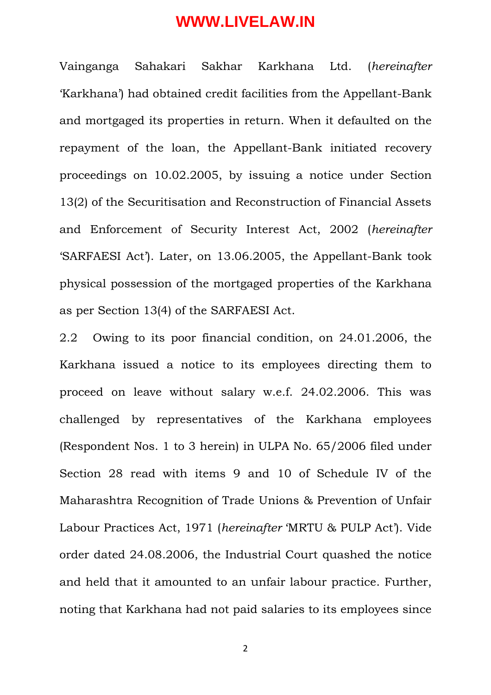Vainganga Sahakari Sakhar Karkhana Ltd. (*hereinafter*  'Karkhana') had obtained credit facilities from the Appellant-Bank and mortgaged its properties in return. When it defaulted on the repayment of the loan, the Appellant-Bank initiated recovery proceedings on 10.02.2005, by issuing a notice under Section 13(2) of the Securitisation and Reconstruction of Financial Assets and Enforcement of Security Interest Act, 2002 (*hereinafter*  'SARFAESI Act'). Later, on 13.06.2005, the Appellant-Bank took physical possession of the mortgaged properties of the Karkhana as per Section 13(4) of the SARFAESI Act.

2.2 Owing to its poor financial condition, on 24.01.2006, the Karkhana issued a notice to its employees directing them to proceed on leave without salary w.e.f. 24.02.2006. This was challenged by representatives of the Karkhana employees (Respondent Nos. 1 to 3 herein) in ULPA No. 65/2006 filed under Section 28 read with items 9 and 10 of Schedule IV of the Maharashtra Recognition of Trade Unions & Prevention of Unfair Labour Practices Act, 1971 (*hereinafter* 'MRTU & PULP Act'). Vide order dated 24.08.2006, the Industrial Court quashed the notice and held that it amounted to an unfair labour practice. Further, noting that Karkhana had not paid salaries to its employees since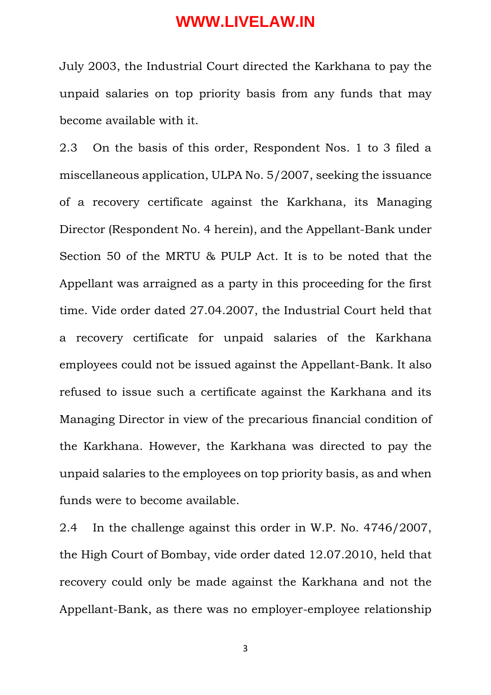July 2003, the Industrial Court directed the Karkhana to pay the unpaid salaries on top priority basis from any funds that may become available with it.

2.3 On the basis of this order, Respondent Nos. 1 to 3 filed a miscellaneous application, ULPA No. 5/2007, seeking the issuance of a recovery certificate against the Karkhana, its Managing Director (Respondent No. 4 herein), and the Appellant-Bank under Section 50 of the MRTU & PULP Act. It is to be noted that the Appellant was arraigned as a party in this proceeding for the first time. Vide order dated 27.04.2007, the Industrial Court held that a recovery certificate for unpaid salaries of the Karkhana employees could not be issued against the Appellant-Bank. It also refused to issue such a certificate against the Karkhana and its Managing Director in view of the precarious financial condition of the Karkhana. However, the Karkhana was directed to pay the unpaid salaries to the employees on top priority basis, as and when funds were to become available.

2.4 In the challenge against this order in W.P. No. 4746/2007, the High Court of Bombay, vide order dated 12.07.2010, held that recovery could only be made against the Karkhana and not the Appellant-Bank, as there was no employer-employee relationship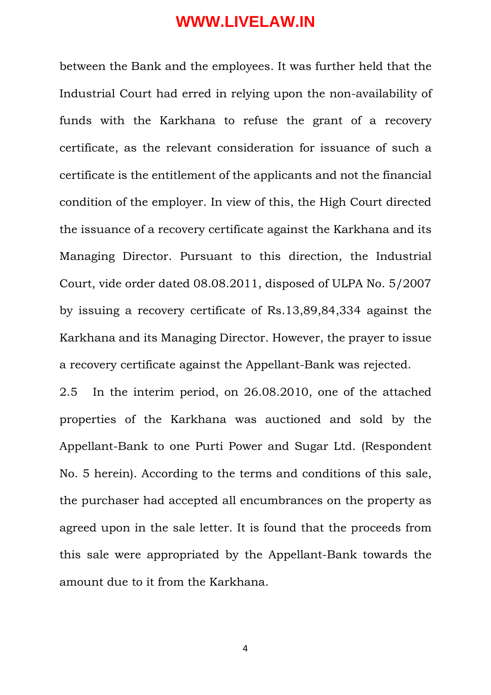between the Bank and the employees. It was further held that the Industrial Court had erred in relying upon the non-availability of funds with the Karkhana to refuse the grant of a recovery certificate, as the relevant consideration for issuance of such a certificate is the entitlement of the applicants and not the financial condition of the employer. In view of this, the High Court directed the issuance of a recovery certificate against the Karkhana and its Managing Director. Pursuant to this direction, the Industrial Court, vide order dated 08.08.2011, disposed of ULPA No. 5/2007 by issuing a recovery certificate of Rs.13,89,84,334 against the Karkhana and its Managing Director. However, the prayer to issue a recovery certificate against the Appellant-Bank was rejected.

2.5 In the interim period, on 26.08.2010, one of the attached properties of the Karkhana was auctioned and sold by the Appellant-Bank to one Purti Power and Sugar Ltd. (Respondent No. 5 herein). According to the terms and conditions of this sale, the purchaser had accepted all encumbrances on the property as agreed upon in the sale letter. It is found that the proceeds from this sale were appropriated by the Appellant-Bank towards the amount due to it from the Karkhana.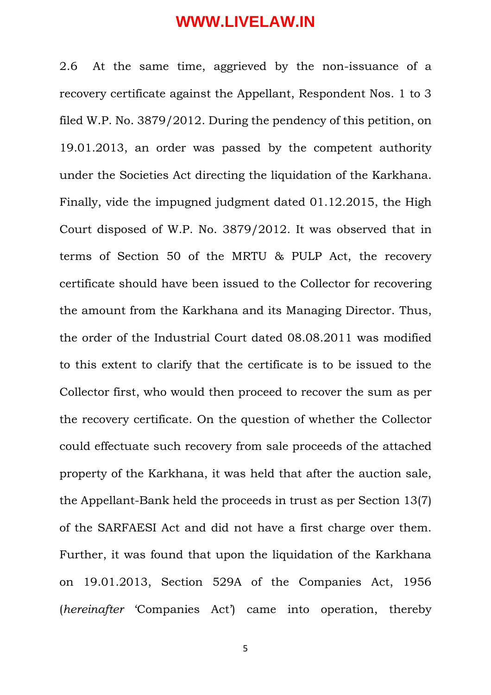2.6 At the same time, aggrieved by the non-issuance of a recovery certificate against the Appellant, Respondent Nos. 1 to 3 filed W.P. No. 3879/2012. During the pendency of this petition, on 19.01.2013, an order was passed by the competent authority under the Societies Act directing the liquidation of the Karkhana. Finally, vide the impugned judgment dated 01.12.2015, the High Court disposed of W.P. No. 3879/2012. It was observed that in terms of Section 50 of the MRTU & PULP Act, the recovery certificate should have been issued to the Collector for recovering the amount from the Karkhana and its Managing Director. Thus, the order of the Industrial Court dated 08.08.2011 was modified to this extent to clarify that the certificate is to be issued to the Collector first, who would then proceed to recover the sum as per the recovery certificate. On the question of whether the Collector could effectuate such recovery from sale proceeds of the attached property of the Karkhana, it was held that after the auction sale, the Appellant-Bank held the proceeds in trust as per Section 13(7) of the SARFAESI Act and did not have a first charge over them. Further, it was found that upon the liquidation of the Karkhana on 19.01.2013, Section 529A of the Companies Act, 1956 (*hereinafter* 'Companies Act') came into operation, thereby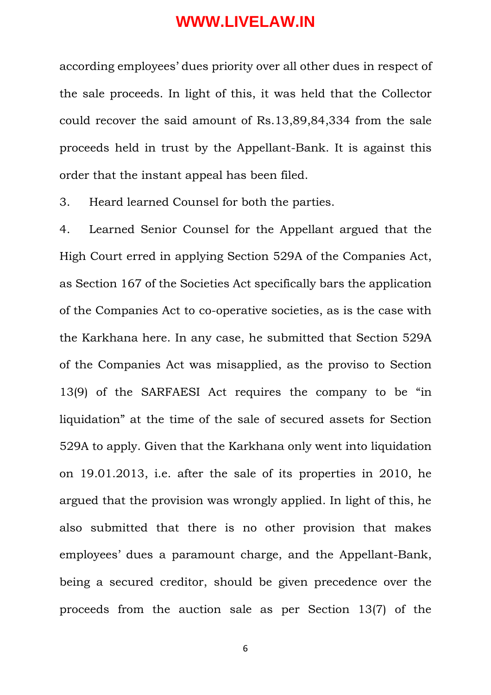according employees' dues priority over all other dues in respect of the sale proceeds. In light of this, it was held that the Collector could recover the said amount of Rs.13,89,84,334 from the sale proceeds held in trust by the Appellant-Bank. It is against this order that the instant appeal has been filed.

3. Heard learned Counsel for both the parties.

4. Learned Senior Counsel for the Appellant argued that the High Court erred in applying Section 529A of the Companies Act, as Section 167 of the Societies Act specifically bars the application of the Companies Act to co-operative societies, as is the case with the Karkhana here. In any case, he submitted that Section 529A of the Companies Act was misapplied, as the proviso to Section 13(9) of the SARFAESI Act requires the company to be "in liquidation" at the time of the sale of secured assets for Section 529A to apply. Given that the Karkhana only went into liquidation on 19.01.2013, i.e. after the sale of its properties in 2010, he argued that the provision was wrongly applied. In light of this, he also submitted that there is no other provision that makes employees' dues a paramount charge, and the Appellant-Bank, being a secured creditor, should be given precedence over the proceeds from the auction sale as per Section 13(7) of the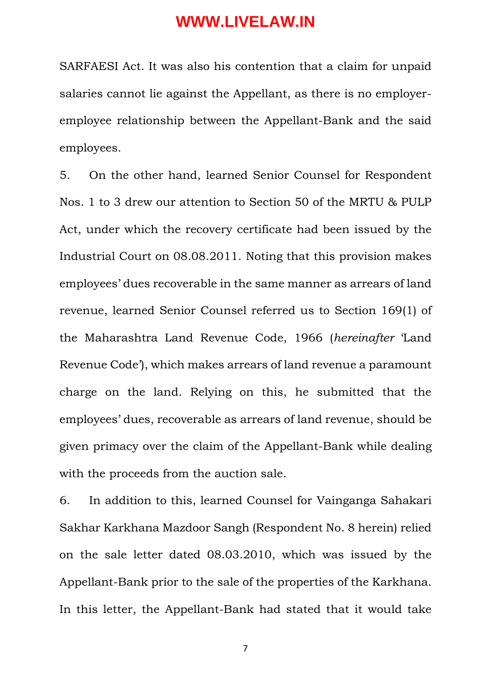SARFAESI Act. It was also his contention that a claim for unpaid salaries cannot lie against the Appellant, as there is no employeremployee relationship between the Appellant-Bank and the said employees.

5. On the other hand, learned Senior Counsel for Respondent Nos. 1 to 3 drew our attention to Section 50 of the MRTU & PULP Act, under which the recovery certificate had been issued by the Industrial Court on 08.08.2011. Noting that this provision makes employees' dues recoverable in the same manner as arrears of land revenue, learned Senior Counsel referred us to Section 169(1) of the Maharashtra Land Revenue Code, 1966 (*hereinafter* 'Land Revenue Code'), which makes arrears of land revenue a paramount charge on the land. Relying on this, he submitted that the employees' dues, recoverable as arrears of land revenue, should be given primacy over the claim of the Appellant-Bank while dealing with the proceeds from the auction sale.

6. In addition to this, learned Counsel for Vainganga Sahakari Sakhar Karkhana Mazdoor Sangh (Respondent No. 8 herein) relied on the sale letter dated 08.03.2010, which was issued by the Appellant-Bank prior to the sale of the properties of the Karkhana. In this letter, the Appellant-Bank had stated that it would take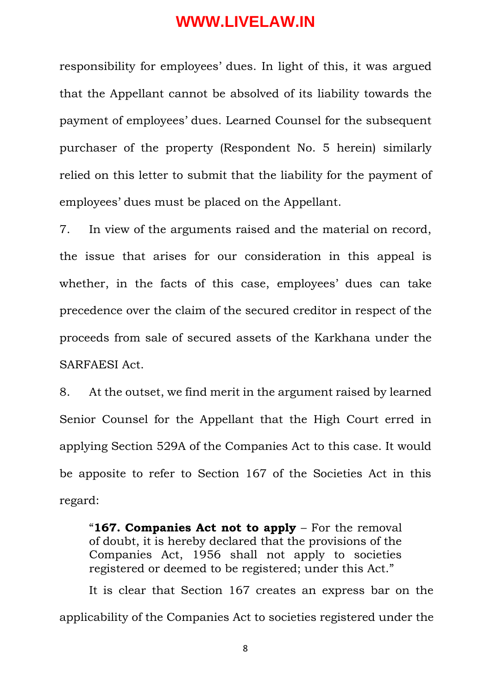responsibility for employees' dues. In light of this, it was argued that the Appellant cannot be absolved of its liability towards the payment of employees' dues. Learned Counsel for the subsequent purchaser of the property (Respondent No. 5 herein) similarly relied on this letter to submit that the liability for the payment of employees' dues must be placed on the Appellant.

7. In view of the arguments raised and the material on record, the issue that arises for our consideration in this appeal is whether, in the facts of this case, employees' dues can take precedence over the claim of the secured creditor in respect of the proceeds from sale of secured assets of the Karkhana under the SARFAESI Act.

8. At the outset, we find merit in the argument raised by learned Senior Counsel for the Appellant that the High Court erred in applying Section 529A of the Companies Act to this case. It would be apposite to refer to Section 167 of the Societies Act in this regard:

"**167. Companies Act not to apply** – For the removal of doubt, it is hereby declared that the provisions of the Companies Act, 1956 shall not apply to societies registered or deemed to be registered; under this Act."

It is clear that Section 167 creates an express bar on the applicability of the Companies Act to societies registered under the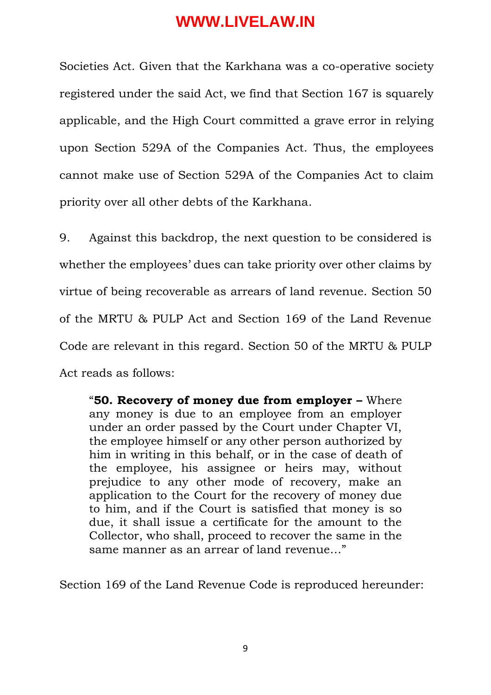Societies Act. Given that the Karkhana was a co-operative society registered under the said Act, we find that Section 167 is squarely applicable, and the High Court committed a grave error in relying upon Section 529A of the Companies Act. Thus, the employees cannot make use of Section 529A of the Companies Act to claim priority over all other debts of the Karkhana.

9. Against this backdrop, the next question to be considered is whether the employees' dues can take priority over other claims by virtue of being recoverable as arrears of land revenue. Section 50 of the MRTU & PULP Act and Section 169 of the Land Revenue Code are relevant in this regard. Section 50 of the MRTU & PULP Act reads as follows:

"**50. Recovery of money due from employer –** Where any money is due to an employee from an employer under an order passed by the Court under Chapter VI, the employee himself or any other person authorized by him in writing in this behalf, or in the case of death of the employee, his assignee or heirs may, without prejudice to any other mode of recovery, make an application to the Court for the recovery of money due to him, and if the Court is satisfied that money is so due, it shall issue a certificate for the amount to the Collector, who shall, proceed to recover the same in the same manner as an arrear of land revenue…"

Section 169 of the Land Revenue Code is reproduced hereunder: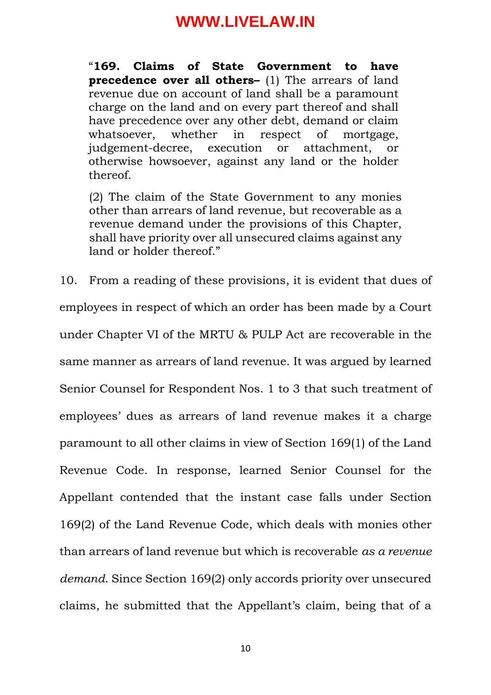"**169. Claims of State Government to have precedence over all others-** (1) The arrears of land revenue due on account of land shall be a paramount charge on the land and on every part thereof and shall have precedence over any other debt, demand or claim whatsoever, whether in respect of mortgage, judgement-decree, execution or attachment, or otherwise howsoever, against any land or the holder thereof.

(2) The claim of the State Government to any monies other than arrears of land revenue, but recoverable as a revenue demand under the provisions of this Chapter, shall have priority over all unsecured claims against any land or holder thereof."

10. From a reading of these provisions, it is evident that dues of employees in respect of which an order has been made by a Court under Chapter VI of the MRTU & PULP Act are recoverable in the same manner as arrears of land revenue. It was argued by learned Senior Counsel for Respondent Nos. 1 to 3 that such treatment of employees' dues as arrears of land revenue makes it a charge paramount to all other claims in view of Section 169(1) of the Land Revenue Code. In response, learned Senior Counsel for the Appellant contended that the instant case falls under Section 169(2) of the Land Revenue Code, which deals with monies other than arrears of land revenue but which is recoverable *as a revenue demand*. Since Section 169(2) only accords priority over unsecured claims, he submitted that the Appellant's claim, being that of a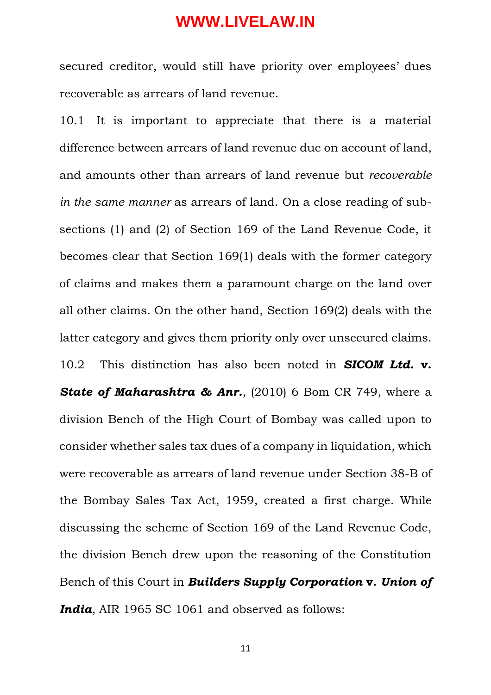secured creditor, would still have priority over employees' dues recoverable as arrears of land revenue.

10.1 It is important to appreciate that there is a material difference between arrears of land revenue due on account of land, and amounts other than arrears of land revenue but *recoverable in the same manner* as arrears of land. On a close reading of subsections (1) and (2) of Section 169 of the Land Revenue Code, it becomes clear that Section 169(1) deals with the former category of claims and makes them a paramount charge on the land over all other claims. On the other hand, Section 169(2) deals with the latter category and gives them priority only over unsecured claims. 10.2 This distinction has also been noted in *SICOM Ltd.* **v.**  *State of Maharashtra & Anr.*, (2010) 6 Bom CR 749, where a division Bench of the High Court of Bombay was called upon to consider whether sales tax dues of a company in liquidation, which were recoverable as arrears of land revenue under Section 38-B of the Bombay Sales Tax Act, 1959, created a first charge. While discussing the scheme of Section 169 of the Land Revenue Code, the division Bench drew upon the reasoning of the Constitution Bench of this Court in *Builders Supply Corporation* **v.** *Union of India*, AIR 1965 SC 1061 and observed as follows: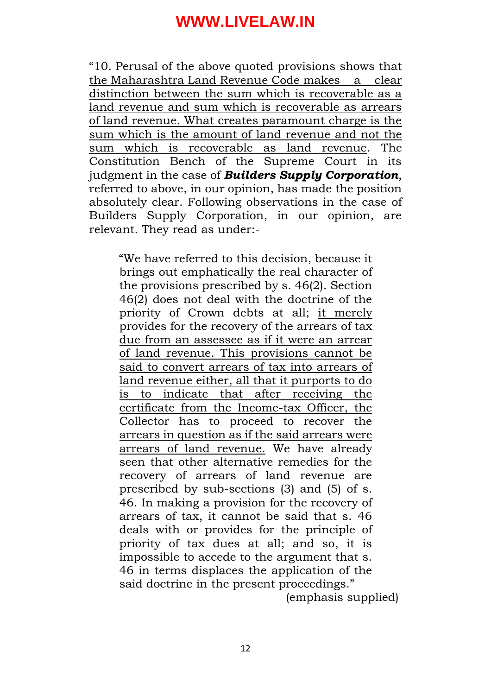"10. Perusal of the above quoted provisions shows that the Maharashtra Land Revenue Code makes a clear distinction between the sum which is recoverable as a land revenue and sum which is recoverable as arrears of land revenue. What creates paramount charge is the sum which is the amount of land revenue and not the sum which is recoverable as land revenue. The Constitution Bench of the Supreme Court in its judgment in the case of *Builders Supply Corporation*, referred to above, in our opinion, has made the position absolutely clear. Following observations in the case of Builders Supply Corporation, in our opinion, are relevant. They read as under:-

"We have referred to this decision, because it brings out emphatically the real character of the provisions prescribed by s. 46(2). Section 46(2) does not deal with the doctrine of the priority of Crown debts at all; it merely provides for the recovery of the arrears of tax due from an assessee as if it were an arrear of land revenue. This provisions cannot be said to convert arrears of tax into arrears of land revenue either, all that it purports to do is to indicate that after receiving the certificate from the Income-tax Officer, the Collector has to proceed to recover the arrears in question as if the said arrears were arrears of land revenue. We have already seen that other alternative remedies for the recovery of arrears of land revenue are prescribed by sub-sections (3) and (5) of s. 46. In making a provision for the recovery of arrears of tax, it cannot be said that s. 46 deals with or provides for the principle of priority of tax dues at all; and so, it is impossible to accede to the argument that s. 46 in terms displaces the application of the said doctrine in the present proceedings." (emphasis supplied)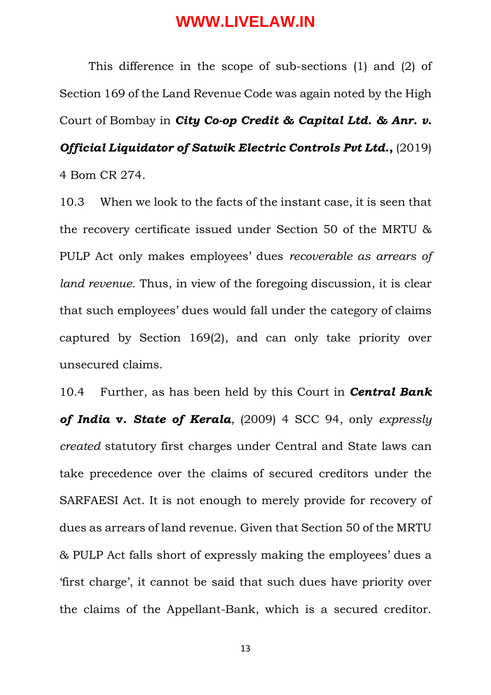This difference in the scope of sub-sections (1) and (2) of Section 169 of the Land Revenue Code was again noted by the High Court of Bombay in *City Co-op Credit & Capital Ltd. & Anr. v. Official Liquidator of Satwik Electric Controls Pvt Ltd.*,  $(2019)$ 4 Bom CR 274.

10.3 When we look to the facts of the instant case, it is seen that the recovery certificate issued under Section 50 of the MRTU & PULP Act only makes employees' dues *recoverable as arrears of land revenue*. Thus, in view of the foregoing discussion, it is clear that such employees' dues would fall under the category of claims captured by Section 169(2), and can only take priority over unsecured claims.

10.4 Further, as has been held by this Court in *Central Bank of India* **v.** *State of Kerala*, (2009) 4 SCC 94, only *expressly created* statutory first charges under Central and State laws can take precedence over the claims of secured creditors under the SARFAESI Act. It is not enough to merely provide for recovery of dues as arrears of land revenue. Given that Section 50 of the MRTU & PULP Act falls short of expressly making the employees' dues a 'first charge', it cannot be said that such dues have priority over the claims of the Appellant-Bank, which is a secured creditor.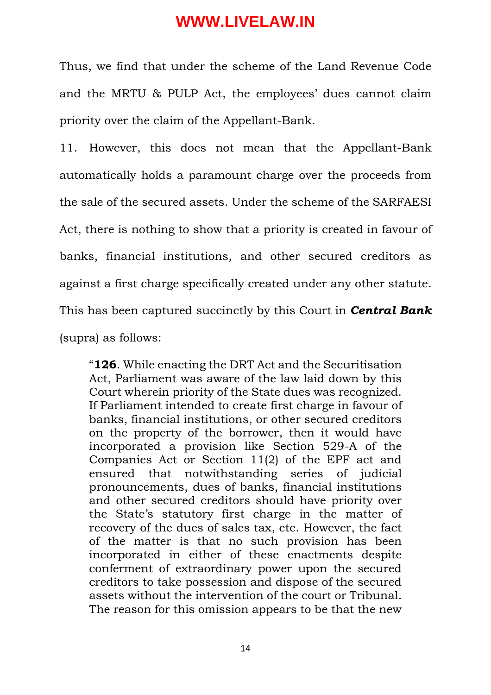Thus, we find that under the scheme of the Land Revenue Code and the MRTU & PULP Act, the employees' dues cannot claim priority over the claim of the Appellant-Bank.

11. However, this does not mean that the Appellant-Bank automatically holds a paramount charge over the proceeds from the sale of the secured assets. Under the scheme of the SARFAESI Act, there is nothing to show that a priority is created in favour of banks, financial institutions, and other secured creditors as against a first charge specifically created under any other statute. This has been captured succinctly by this Court in *Central Bank*  (supra) as follows:

"**126**. While enacting the DRT Act and the Securitisation Act, Parliament was aware of the law laid down by this Court wherein priority of the State dues was recognized. If Parliament intended to create first charge in favour of banks, financial institutions, or other secured creditors on the property of the borrower, then it would have incorporated a provision like Section 529-A of the Companies Act or Section 11(2) of the EPF act and ensured that notwithstanding series of judicial pronouncements, dues of banks, financial institutions and other secured creditors should have priority over the State's statutory first charge in the matter of recovery of the dues of sales tax, etc. However, the fact of the matter is that no such provision has been incorporated in either of these enactments despite conferment of extraordinary power upon the secured creditors to take possession and dispose of the secured assets without the intervention of the court or Tribunal. The reason for this omission appears to be that the new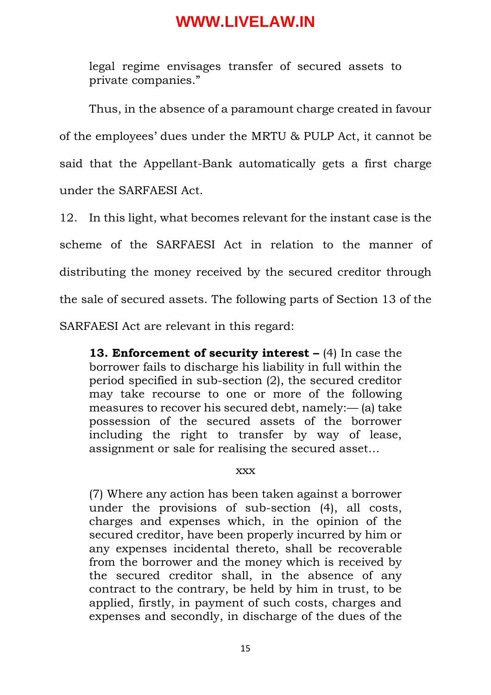legal regime envisages transfer of secured assets to private companies."

Thus, in the absence of a paramount charge created in favour of the employees' dues under the MRTU & PULP Act, it cannot be said that the Appellant-Bank automatically gets a first charge under the SARFAESI Act.

12. In this light, what becomes relevant for the instant case is the scheme of the SARFAESI Act in relation to the manner of distributing the money received by the secured creditor through the sale of secured assets. The following parts of Section 13 of the SARFAESI Act are relevant in this regard:

**13. Enforcement of security interest – (4)** In case the borrower fails to discharge his liability in full within the period specified in sub-section (2), the secured creditor may take recourse to one or more of the following measures to recover his secured debt, namely:— (a) take possession of the secured assets of the borrower including the right to transfer by way of lease, assignment or sale for realising the secured asset…

#### xxx

(7) Where any action has been taken against a borrower under the provisions of sub-section (4), all costs, charges and expenses which, in the opinion of the secured creditor, have been properly incurred by him or any expenses incidental thereto, shall be recoverable from the borrower and the money which is received by the secured creditor shall, in the absence of any contract to the contrary, be held by him in trust, to be applied, firstly, in payment of such costs, charges and expenses and secondly, in discharge of the dues of the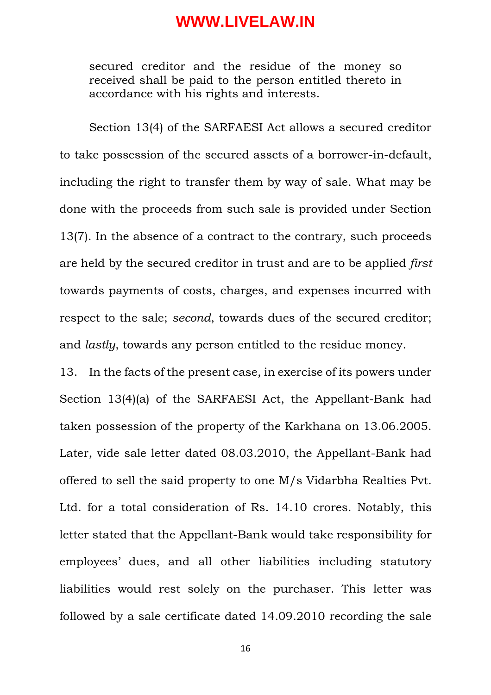secured creditor and the residue of the money so received shall be paid to the person entitled thereto in accordance with his rights and interests.

Section 13(4) of the SARFAESI Act allows a secured creditor to take possession of the secured assets of a borrower-in-default, including the right to transfer them by way of sale. What may be done with the proceeds from such sale is provided under Section 13(7). In the absence of a contract to the contrary, such proceeds are held by the secured creditor in trust and are to be applied *first* towards payments of costs, charges, and expenses incurred with respect to the sale; *second*, towards dues of the secured creditor; and *lastly*, towards any person entitled to the residue money.

13. In the facts of the present case, in exercise of its powers under Section 13(4)(a) of the SARFAESI Act, the Appellant-Bank had taken possession of the property of the Karkhana on 13.06.2005. Later, vide sale letter dated 08.03.2010, the Appellant-Bank had offered to sell the said property to one M/s Vidarbha Realties Pvt. Ltd. for a total consideration of Rs. 14.10 crores. Notably, this letter stated that the Appellant-Bank would take responsibility for employees' dues, and all other liabilities including statutory liabilities would rest solely on the purchaser. This letter was followed by a sale certificate dated 14.09.2010 recording the sale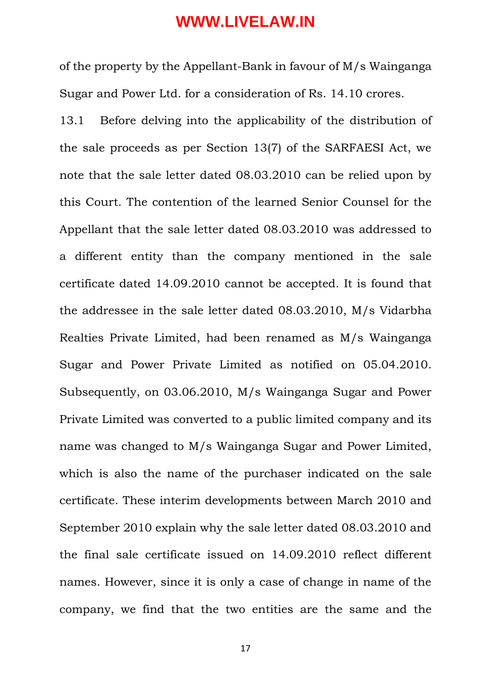of the property by the Appellant-Bank in favour of M/s Wainganga Sugar and Power Ltd. for a consideration of Rs. 14.10 crores.

13.1 Before delving into the applicability of the distribution of the sale proceeds as per Section 13(7) of the SARFAESI Act, we note that the sale letter dated 08.03.2010 can be relied upon by this Court. The contention of the learned Senior Counsel for the Appellant that the sale letter dated 08.03.2010 was addressed to a different entity than the company mentioned in the sale certificate dated 14.09.2010 cannot be accepted. It is found that the addressee in the sale letter dated 08.03.2010, M/s Vidarbha Realties Private Limited, had been renamed as M/s Wainganga Sugar and Power Private Limited as notified on 05.04.2010. Subsequently, on 03.06.2010, M/s Wainganga Sugar and Power Private Limited was converted to a public limited company and its name was changed to M/s Wainganga Sugar and Power Limited, which is also the name of the purchaser indicated on the sale certificate. These interim developments between March 2010 and September 2010 explain why the sale letter dated 08.03.2010 and the final sale certificate issued on 14.09.2010 reflect different names. However, since it is only a case of change in name of the company, we find that the two entities are the same and the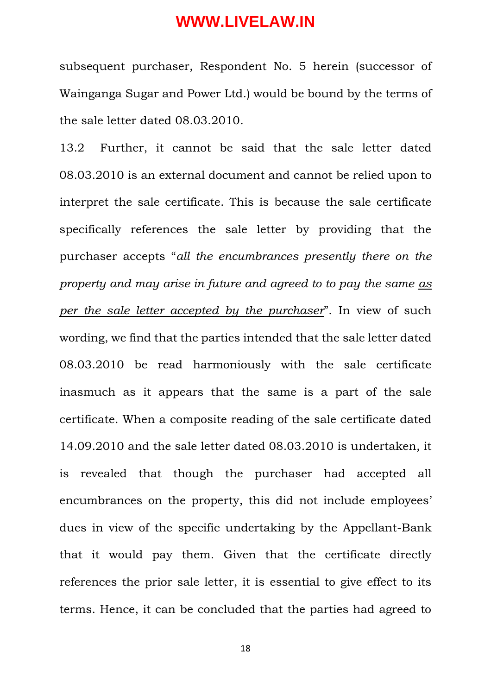subsequent purchaser, Respondent No. 5 herein (successor of Wainganga Sugar and Power Ltd.) would be bound by the terms of the sale letter dated 08.03.2010.

13.2 Further, it cannot be said that the sale letter dated 08.03.2010 is an external document and cannot be relied upon to interpret the sale certificate. This is because the sale certificate specifically references the sale letter by providing that the purchaser accepts "*all the encumbrances presently there on the property and may arise in future and agreed to to pay the same as per the sale letter accepted by the purchaser*". In view of such wording, we find that the parties intended that the sale letter dated 08.03.2010 be read harmoniously with the sale certificate inasmuch as it appears that the same is a part of the sale certificate. When a composite reading of the sale certificate dated 14.09.2010 and the sale letter dated 08.03.2010 is undertaken, it is revealed that though the purchaser had accepted all encumbrances on the property, this did not include employees' dues in view of the specific undertaking by the Appellant-Bank that it would pay them. Given that the certificate directly references the prior sale letter, it is essential to give effect to its terms. Hence, it can be concluded that the parties had agreed to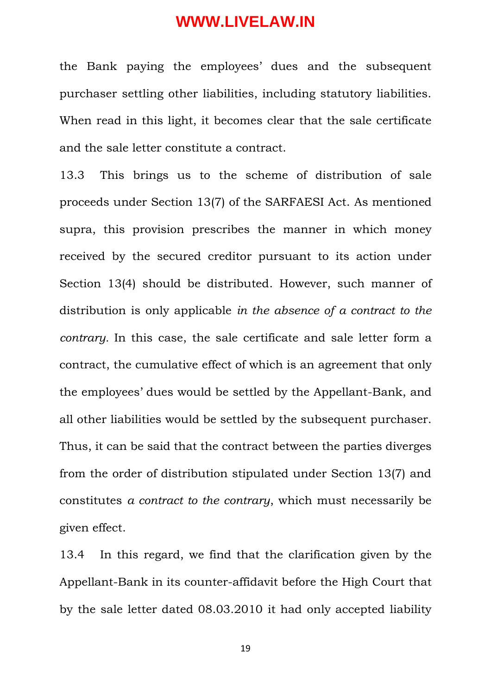the Bank paying the employees' dues and the subsequent purchaser settling other liabilities, including statutory liabilities. When read in this light, it becomes clear that the sale certificate and the sale letter constitute a contract.

13.3 This brings us to the scheme of distribution of sale proceeds under Section 13(7) of the SARFAESI Act. As mentioned supra, this provision prescribes the manner in which money received by the secured creditor pursuant to its action under Section 13(4) should be distributed. However, such manner of distribution is only applicable *in the absence of a contract to the contrary.* In this case, the sale certificate and sale letter form a contract, the cumulative effect of which is an agreement that only the employees' dues would be settled by the Appellant-Bank, and all other liabilities would be settled by the subsequent purchaser. Thus, it can be said that the contract between the parties diverges from the order of distribution stipulated under Section 13(7) and constitutes *a contract to the contrary*, which must necessarily be given effect.

13.4 In this regard, we find that the clarification given by the Appellant-Bank in its counter-affidavit before the High Court that by the sale letter dated 08.03.2010 it had only accepted liability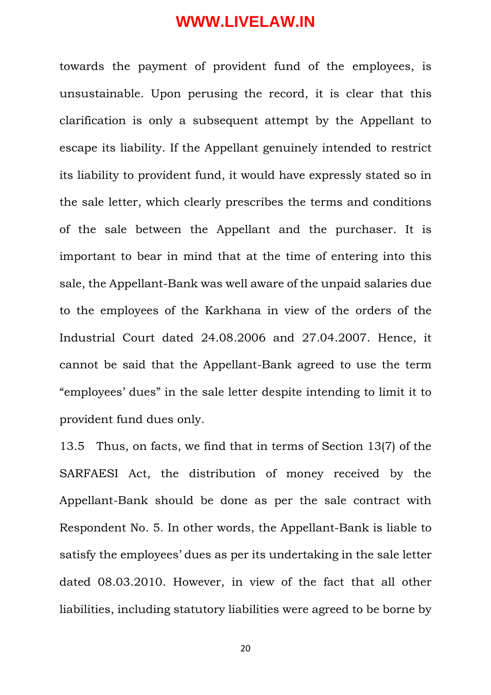towards the payment of provident fund of the employees, is unsustainable. Upon perusing the record, it is clear that this clarification is only a subsequent attempt by the Appellant to escape its liability. If the Appellant genuinely intended to restrict its liability to provident fund, it would have expressly stated so in the sale letter, which clearly prescribes the terms and conditions of the sale between the Appellant and the purchaser. It is important to bear in mind that at the time of entering into this sale, the Appellant-Bank was well aware of the unpaid salaries due to the employees of the Karkhana in view of the orders of the Industrial Court dated 24.08.2006 and 27.04.2007. Hence, it cannot be said that the Appellant-Bank agreed to use the term "employees' dues" in the sale letter despite intending to limit it to provident fund dues only.

13.5 Thus, on facts, we find that in terms of Section 13(7) of the SARFAESI Act, the distribution of money received by the Appellant-Bank should be done as per the sale contract with Respondent No. 5. In other words, the Appellant-Bank is liable to satisfy the employees' dues as per its undertaking in the sale letter dated 08.03.2010. However, in view of the fact that all other liabilities, including statutory liabilities were agreed to be borne by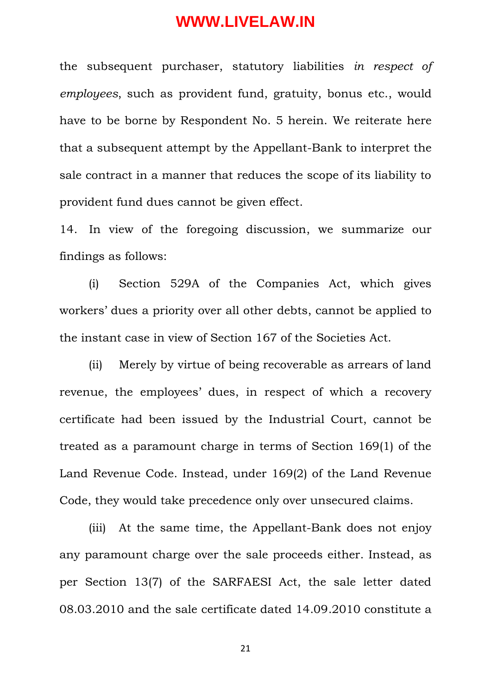the subsequent purchaser, statutory liabilities *in respect of employees*, such as provident fund, gratuity, bonus etc., would have to be borne by Respondent No. 5 herein. We reiterate here that a subsequent attempt by the Appellant-Bank to interpret the sale contract in a manner that reduces the scope of its liability to provident fund dues cannot be given effect.

14. In view of the foregoing discussion, we summarize our findings as follows:

(i) Section 529A of the Companies Act, which gives workers' dues a priority over all other debts, cannot be applied to the instant case in view of Section 167 of the Societies Act.

(ii) Merely by virtue of being recoverable as arrears of land revenue, the employees' dues, in respect of which a recovery certificate had been issued by the Industrial Court, cannot be treated as a paramount charge in terms of Section 169(1) of the Land Revenue Code. Instead, under 169(2) of the Land Revenue Code, they would take precedence only over unsecured claims.

(iii) At the same time, the Appellant-Bank does not enjoy any paramount charge over the sale proceeds either. Instead, as per Section 13(7) of the SARFAESI Act, the sale letter dated 08.03.2010 and the sale certificate dated 14.09.2010 constitute a